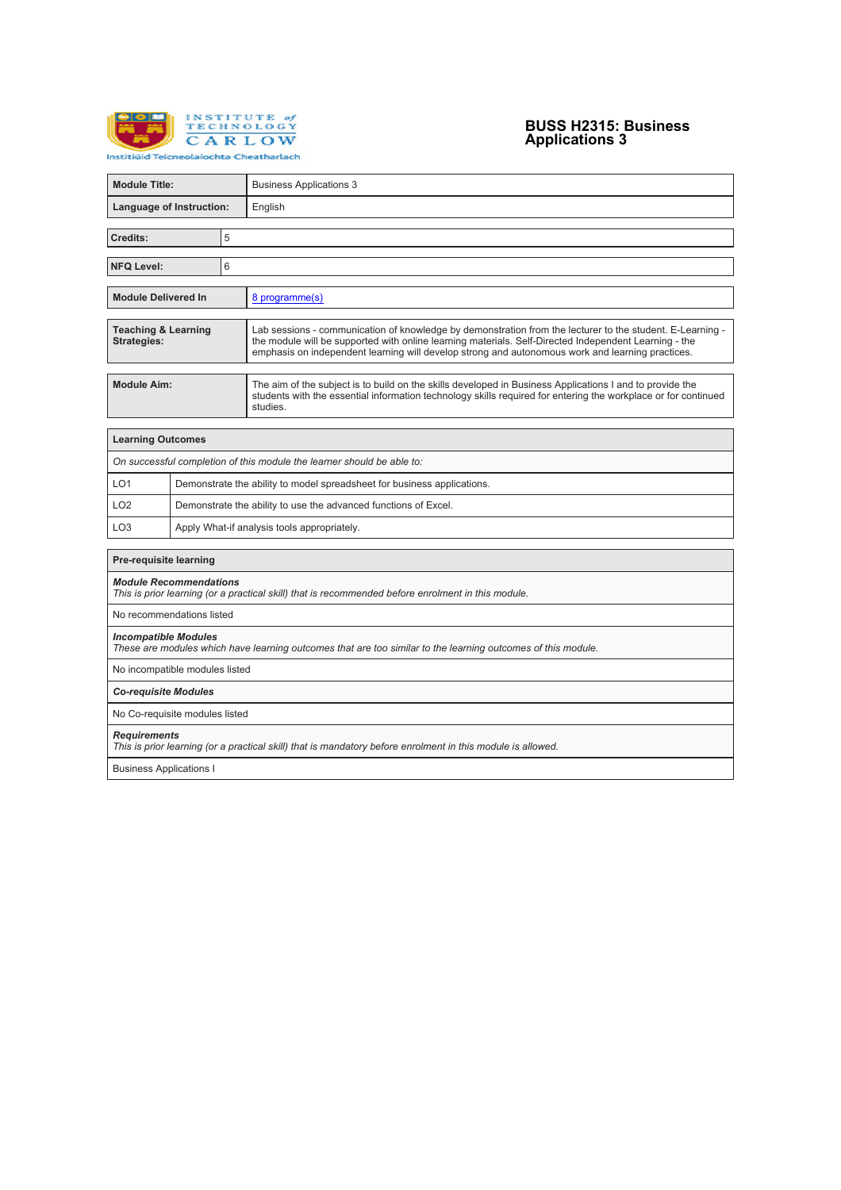

# **BUSS H2315: Business Applications 3**

| <b>Module Title:</b>                                                                                                                        |                                |   | <b>Business Applications 3</b>                                                                                                                                                                                                                                                                                         |  |  |
|---------------------------------------------------------------------------------------------------------------------------------------------|--------------------------------|---|------------------------------------------------------------------------------------------------------------------------------------------------------------------------------------------------------------------------------------------------------------------------------------------------------------------------|--|--|
| Language of Instruction:                                                                                                                    |                                |   | English                                                                                                                                                                                                                                                                                                                |  |  |
| Credits:                                                                                                                                    |                                | 5 |                                                                                                                                                                                                                                                                                                                        |  |  |
|                                                                                                                                             |                                |   |                                                                                                                                                                                                                                                                                                                        |  |  |
| <b>NFQ Level:</b>                                                                                                                           |                                | 6 |                                                                                                                                                                                                                                                                                                                        |  |  |
| <b>Module Delivered In</b>                                                                                                                  |                                |   | 8 programme(s)                                                                                                                                                                                                                                                                                                         |  |  |
| <b>Teaching &amp; Learning</b><br><b>Strategies:</b>                                                                                        |                                |   | Lab sessions - communication of knowledge by demonstration from the lecturer to the student. E-Learning -<br>the module will be supported with online learning materials. Self-Directed Independent Learning - the<br>emphasis on independent learning will develop strong and autonomous work and learning practices. |  |  |
| <b>Module Aim:</b>                                                                                                                          |                                |   | The aim of the subject is to build on the skills developed in Business Applications I and to provide the<br>students with the essential information technology skills required for entering the workplace or for continued<br>studies.                                                                                 |  |  |
| <b>Learning Outcomes</b>                                                                                                                    |                                |   |                                                                                                                                                                                                                                                                                                                        |  |  |
|                                                                                                                                             |                                |   | On successful completion of this module the learner should be able to:                                                                                                                                                                                                                                                 |  |  |
| LO <sub>1</sub>                                                                                                                             |                                |   | Demonstrate the ability to model spreadsheet for business applications.                                                                                                                                                                                                                                                |  |  |
| LO <sub>2</sub>                                                                                                                             |                                |   | Demonstrate the ability to use the advanced functions of Excel.                                                                                                                                                                                                                                                        |  |  |
| LO <sub>3</sub>                                                                                                                             |                                |   | Apply What-if analysis tools appropriately.                                                                                                                                                                                                                                                                            |  |  |
| Pre-requisite learning                                                                                                                      |                                |   |                                                                                                                                                                                                                                                                                                                        |  |  |
| <b>Module Recommendations</b>                                                                                                               |                                |   | This is prior learning (or a practical skill) that is recommended before enrolment in this module.                                                                                                                                                                                                                     |  |  |
| No recommendations listed                                                                                                                   |                                |   |                                                                                                                                                                                                                                                                                                                        |  |  |
| <b>Incompatible Modules</b><br>These are modules which have learning outcomes that are too similar to the learning outcomes of this module. |                                |   |                                                                                                                                                                                                                                                                                                                        |  |  |
|                                                                                                                                             | No incompatible modules listed |   |                                                                                                                                                                                                                                                                                                                        |  |  |
| <b>Co-requisite Modules</b>                                                                                                                 |                                |   |                                                                                                                                                                                                                                                                                                                        |  |  |
| No Co-requisite modules listed                                                                                                              |                                |   |                                                                                                                                                                                                                                                                                                                        |  |  |
| <b>Requirements</b><br>This is prior learning (or a practical skill) that is mandatory before enrolment in this module is allowed.          |                                |   |                                                                                                                                                                                                                                                                                                                        |  |  |
| <b>Business Applications I</b>                                                                                                              |                                |   |                                                                                                                                                                                                                                                                                                                        |  |  |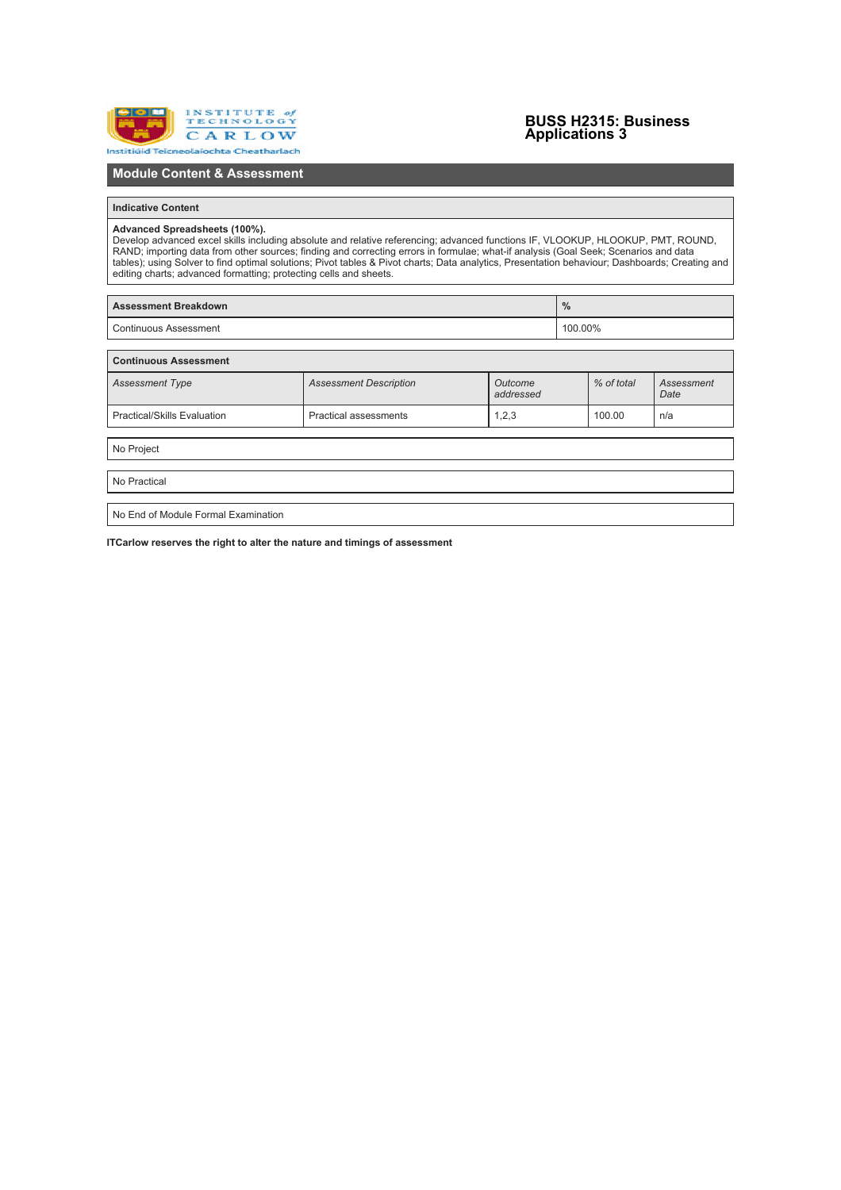

# **BUSS H2315: Business Applications 3**

# **Module Content & Assessment**

### **Indicative Content**

Advanced Spreadsheets (100%).<br>Develop advanced excel skills including absolute and relative referencing; advanced functions IF, VLOOKUP, HLOOKUP, PMT, ROUND,<br>RAND; importing data from other sources; finding and correcting

| <b>Assessment Breakdown</b> | $\%$    |
|-----------------------------|---------|
| Continuous Assessment       | 100.00% |

| <b>Continuous Assessment</b>       |                               |                      |            |                    |  |  |  |  |
|------------------------------------|-------------------------------|----------------------|------------|--------------------|--|--|--|--|
| <b>Assessment Type</b>             | <b>Assessment Description</b> | Outcome<br>addressed | % of total | Assessment<br>Date |  |  |  |  |
| <b>Practical/Skills Evaluation</b> | <b>Practical assessments</b>  | 1,2,3                | 100.00     | n/a                |  |  |  |  |
|                                    |                               |                      |            |                    |  |  |  |  |

No Project

No Practical

No End of Module Formal Examination

**ITCarlow reserves the right to alter the nature and timings of assessment**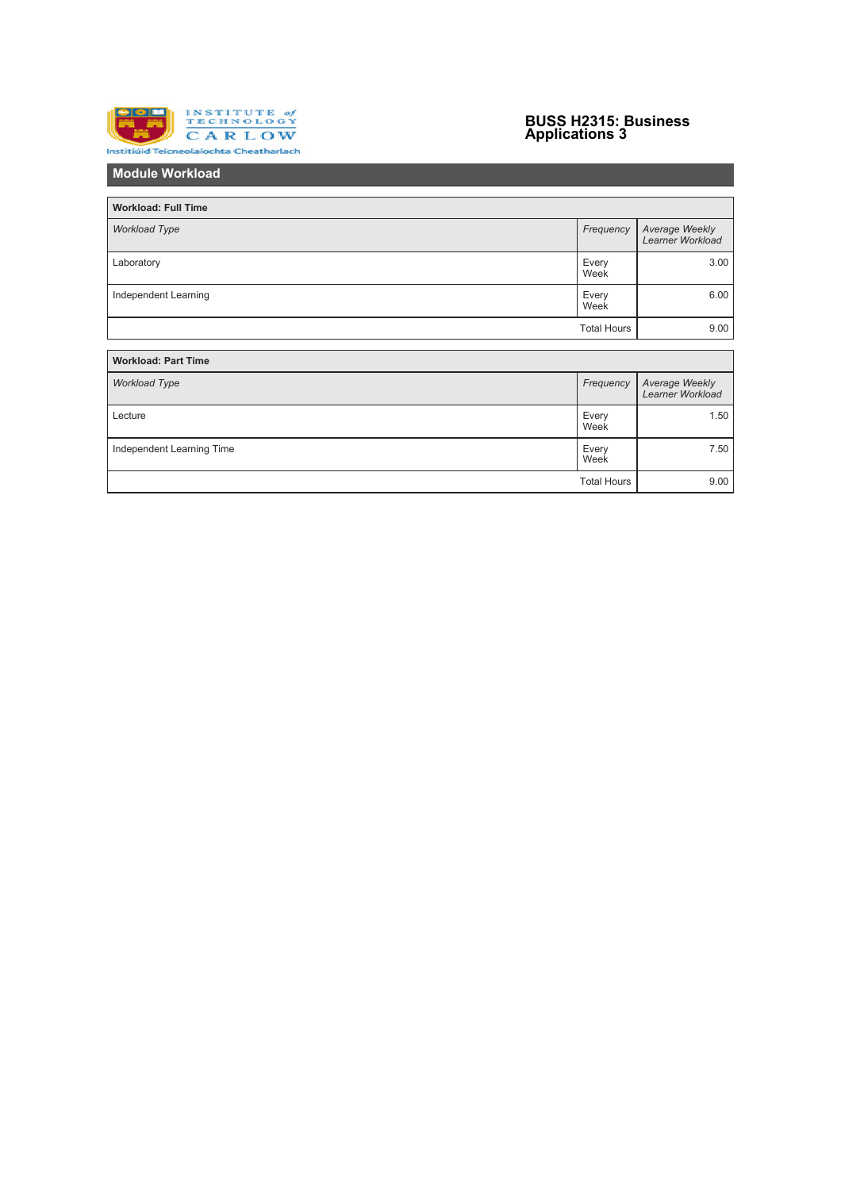

# **BUSS H2315: Business Applications 3**

**Module Workload**

| <b>Workload: Full Time</b> |                    |                                           |  |  |  |
|----------------------------|--------------------|-------------------------------------------|--|--|--|
| <b>Workload Type</b>       | Frequency          | Average Weekly<br><b>Learner Workload</b> |  |  |  |
| Laboratory                 | Every<br>Week      | 3.00                                      |  |  |  |
| Independent Learning       |                    | 6.00                                      |  |  |  |
|                            | <b>Total Hours</b> | 9.00                                      |  |  |  |
|                            |                    |                                           |  |  |  |
| <b>Workload: Part Time</b> |                    |                                           |  |  |  |
| <b>Workload Type</b>       | Frequency          | Average Weekly<br><b>Learner Workload</b> |  |  |  |
| Lecture                    | Every<br>Week      | 1.50                                      |  |  |  |
| Independent Learning Time  | Every<br>Week      | 7.50                                      |  |  |  |
|                            | <b>Total Hours</b> | 9.00                                      |  |  |  |